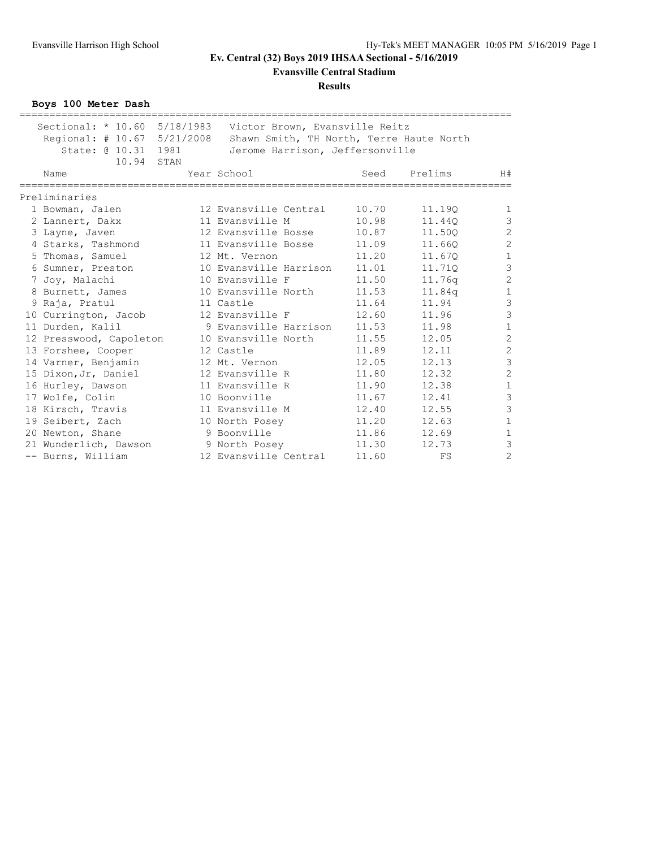**Evansville Central Stadium**

#### **Results**

**Boys 100 Meter Dash**

| ===================================                |                                                                                                                                            |       |                    |                                       |
|----------------------------------------------------|--------------------------------------------------------------------------------------------------------------------------------------------|-------|--------------------|---------------------------------------|
| Regional: # 10.67 5/21/2008<br>State: @ 10.31 1981 | Sectional: * 10.60 5/18/1983 Victor Brown, Evansville Reitz<br>Shawn Smith, TH North, Terre Haute North<br>Jerome Harrison, Jeffersonville |       |                    |                                       |
| 10.94 STAN<br>Name                                 | Year School                                                                                                                                | Seed  | Prelims            | H#                                    |
| Preliminaries                                      |                                                                                                                                            |       |                    |                                       |
| 1 Bowman, Jalen                                    | 12 Evansville Central                                                                                                                      | 10.70 | 11.19Q             | $\mathbf{1}$                          |
| 2 Lannert, Dakx                                    | 11 Evansville M                                                                                                                            | 10.98 | 11.440             | $\mathfrak{Z}$                        |
| 3 Layne, Javen                                     | 12 Evansville Bosse                                                                                                                        | 10.87 | 11.500             | $\overline{c}$                        |
| 4 Starks, Tashmond                                 | 11 Evansville Bosse                                                                                                                        | 11.09 | 11.660             | $\overline{c}$                        |
| 5 Thomas, Samuel                                   | 12 Mt. Vernon                                                                                                                              | 11.20 | 11.67Q             | $\mathbf 1$                           |
| 6 Sumner, Preston                                  | 10 Evansville Harrison                                                                                                                     | 11.01 | 11.710             | $\mathcal{S}$                         |
| 7 Joy, Malachi                                     | 10 Evansville F                                                                                                                            | 11.50 | 11.76q             | $\overline{c}$                        |
| 8 Burnett, James                                   | 10 Evansville North                                                                                                                        | 11.53 | 11.84 <sub>q</sub> | $\mathbf 1$                           |
| 9 Raja, Pratul                                     | 11 Castle                                                                                                                                  | 11.64 | 11.94              |                                       |
| 10 Currington, Jacob                               | 12 Evansville F                                                                                                                            | 12.60 | 11.96              | $\begin{array}{c} 3 \\ 3 \end{array}$ |
| 11 Durden, Kalil                                   | 9 Evansville Harrison                                                                                                                      | 11.53 | 11.98              | $\mathbf 1$                           |
| 12 Presswood, Capoleton                            | 10 Evansville North                                                                                                                        | 11.55 | 12.05              | $\overline{c}$                        |
| 13 Forshee, Cooper                                 | 12 Castle                                                                                                                                  | 11.89 | 12.11              |                                       |
| 14 Varner, Benjamin                                | 12 Mt. Vernon                                                                                                                              | 12.05 | 12.13              | $\begin{array}{c} 2 \\ 3 \end{array}$ |
| 15 Dixon, Jr, Daniel                               | 12 Evansville R                                                                                                                            | 11.80 | 12.32              | $\overline{c}$                        |
| 16 Hurley, Dawson                                  | 11 Evansville R                                                                                                                            | 11.90 | 12.38              | $\mathbf 1$                           |
| 17 Wolfe, Colin                                    | 10 Boonville                                                                                                                               | 11.67 | 12.41              |                                       |
| 18 Kirsch, Travis                                  | 11 Evansville M                                                                                                                            | 12.40 | 12.55              | $\begin{array}{c} 3 \\ 3 \end{array}$ |
| 19 Seibert, Zach                                   | 10 North Posey                                                                                                                             | 11.20 | 12.63              | $\,1\,$                               |
| 20 Newton, Shane                                   | 9 Boonville                                                                                                                                | 11.86 | 12.69              | $\mathbf 1$                           |
| 21 Wunderlich, Dawson                              | 9 North Posey                                                                                                                              | 11.30 | 12.73              | 3                                     |
| -- Burns, William                                  | 12 Evansville Central                                                                                                                      | 11.60 | FS                 | $\overline{c}$                        |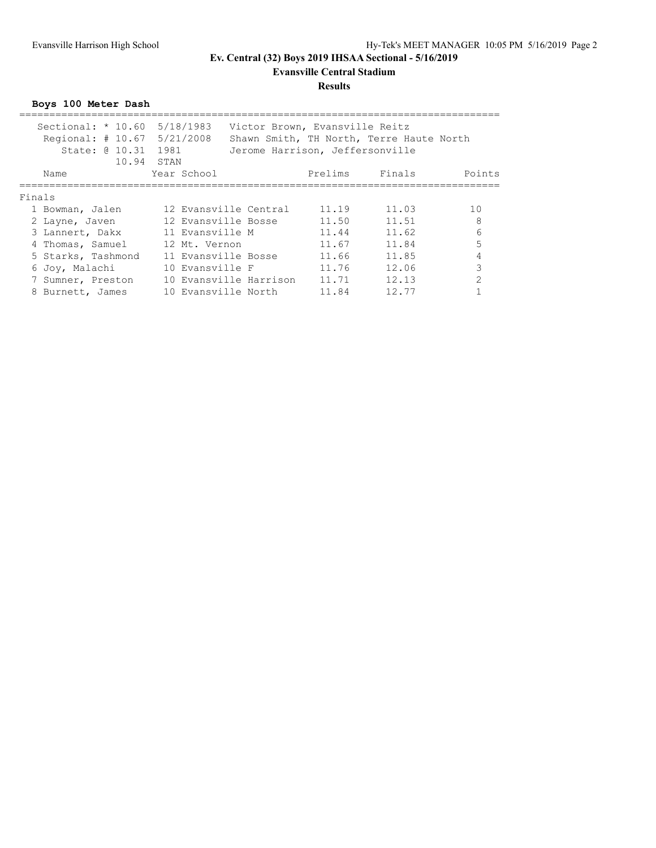**Evansville Central Stadium**

#### **Results**

**Boys 100 Meter Dash**

| Sectional: $\star$ 10.60<br>Regional: $\#$ 10.67<br>State: 0 10.31 | 5/18/1983<br>5/21/2008<br>1981 | Victor Brown, Evansville Reitz<br>Jerome Harrison, Jeffersonville |         | Shawn Smith, TH North, Terre Haute North |                |
|--------------------------------------------------------------------|--------------------------------|-------------------------------------------------------------------|---------|------------------------------------------|----------------|
| 10.94<br>Name                                                      | STAN<br>Year School            |                                                                   | Prelims | Finals                                   | Points         |
| Finals                                                             |                                |                                                                   |         |                                          |                |
| 1 Bowman, Jalen                                                    |                                | 12 Evansville Central                                             | 11.19   | 11.03                                    | 10             |
| 2 Layne, Javen                                                     | 12 Evansville Bosse            |                                                                   | 11.50   | 11.51                                    | 8              |
| 3 Lannert, Dakx                                                    | 11 Evansville M                |                                                                   | 11.44   | 11.62                                    | 6              |
| 4 Thomas, Samuel                                                   | 12 Mt. Vernon                  |                                                                   | 11.67   | 11.84                                    | 5              |
| 5 Starks, Tashmond                                                 | 11 Evansville Bosse            |                                                                   | 11.66   | 11.85                                    | 4              |
| 6 Joy, Malachi                                                     | 10 Evansville F                |                                                                   | 11.76   | 12.06                                    | $\mathcal{R}$  |
| 7 Sumner, Preston                                                  |                                | 10 Evansville Harrison                                            | 11.71   | 12.13                                    | $\mathfrak{D}$ |
| 8 Burnett, James                                                   | 10 Evansville North            |                                                                   | 11.84   | 12.77                                    |                |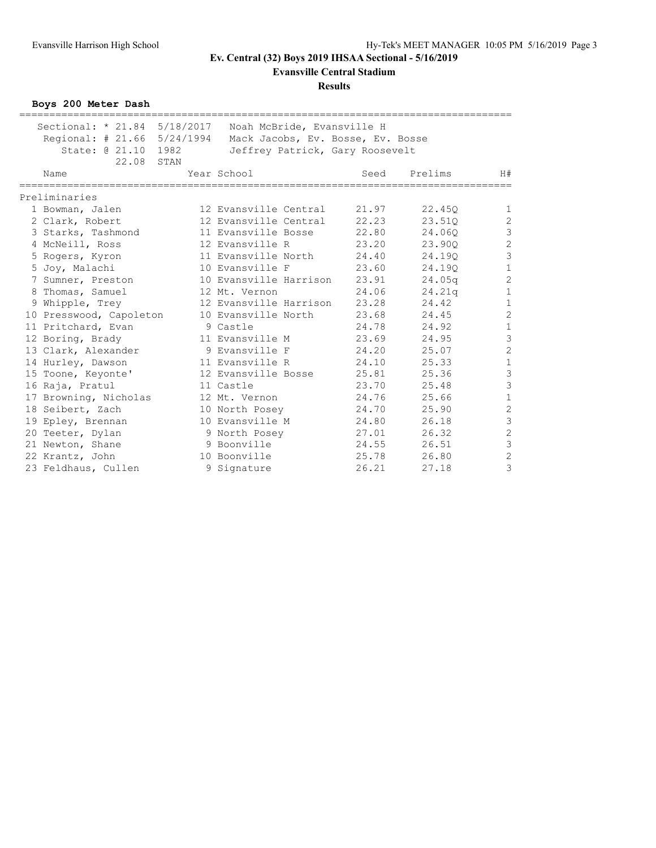**Evansville Central Stadium**

#### **Results**

**Boys 200 Meter Dash**

| Sectional: * 21.84 5/18/2017<br>Regional: $\# 21.66 5/24/1994$<br>State: @ 21.10 1982<br>22.08 | STAN | Noah McBride, Evansville H<br>Mack Jacobs, Ev. Bosse, Ev. Bosse<br>Jeffrey Patrick, Gary Roosevelt |       | ============================ |                |
|------------------------------------------------------------------------------------------------|------|----------------------------------------------------------------------------------------------------|-------|------------------------------|----------------|
| Name                                                                                           |      | Year School                                                                                        | Seed  | Prelims                      | H#             |
| Preliminaries                                                                                  |      |                                                                                                    |       |                              |                |
| 1 Bowman, Jalen                                                                                |      | 12 Evansville Central                                                                              | 21.97 | 22.45Q                       | $\mathbf{1}$   |
| 2 Clark, Robert                                                                                |      | 12 Evansville Central                                                                              | 22.23 | 23.510                       | $\overline{c}$ |
| 3 Starks, Tashmond                                                                             |      | 11 Evansville Bosse                                                                                | 22.80 | 24.060                       | $\mathfrak{Z}$ |
| 4 McNeill, Ross                                                                                |      | 12 Evansville R                                                                                    | 23.20 | 23.90Q                       | $\overline{c}$ |
| 5 Rogers, Kyron                                                                                |      | 11 Evansville North                                                                                | 24.40 | 24.190                       | $\overline{3}$ |
| 5 Joy, Malachi                                                                                 |      | 10 Evansville F                                                                                    | 23.60 | 24.190                       | $1\,$          |
| 7 Sumner, Preston                                                                              |      | 10 Evansville Harrison                                                                             | 23.91 | 24.05q                       | $\overline{c}$ |
| 8 Thomas, Samuel                                                                               |      | 12 Mt. Vernon                                                                                      | 24.06 | 24.21q                       | $1\,$          |
| 9 Whipple, Trey                                                                                |      | 12 Evansville Harrison                                                                             | 23.28 | 24.42                        | $\mathbf 1$    |
| 10 Presswood, Capoleton                                                                        |      | 10 Evansville North                                                                                | 23.68 | 24.45                        | $\overline{c}$ |
| 11 Pritchard, Evan                                                                             |      | 9 Castle                                                                                           | 24.78 | 24.92                        | $\mathbf 1$    |
| 12 Boring, Brady                                                                               |      | 11 Evansville M                                                                                    | 23.69 | 24.95                        | $\mathfrak{Z}$ |
| 13 Clark, Alexander                                                                            |      | 9 Evansville F                                                                                     | 24.20 | 25.07                        | $\overline{c}$ |
| 14 Hurley, Dawson                                                                              |      | 11 Evansville R                                                                                    | 24.10 | 25.33                        | $\mathbf 1$    |
| 15 Toone, Keyonte'                                                                             |      | 12 Evansville Bosse                                                                                | 25.81 | 25.36                        | $\mathfrak{Z}$ |
| 16 Raja, Pratul                                                                                |      | 11 Castle                                                                                          | 23.70 | 25.48                        | $\overline{3}$ |
| 17 Browning, Nicholas                                                                          |      | 12 Mt. Vernon                                                                                      | 24.76 | 25.66                        | $\mathbf 1$    |
| 18 Seibert, Zach                                                                               |      | 10 North Posey                                                                                     | 24.70 | 25.90                        | $\overline{c}$ |
| 19 Epley, Brennan                                                                              |      | 10 Evansville M                                                                                    | 24.80 | 26.18                        | $\overline{3}$ |
| 20 Teeter, Dylan                                                                               |      | 9 North Posey                                                                                      | 27.01 | 26.32                        | $\overline{c}$ |
| 21 Newton, Shane                                                                               |      | 9 Boonville                                                                                        | 24.55 | 26.51                        | $\overline{3}$ |
| 22 Krantz, John                                                                                |      | 10 Boonville                                                                                       | 25.78 | 26.80                        | $\overline{c}$ |
| 23 Feldhaus, Cullen                                                                            |      | 9 Signature                                                                                        | 26.21 | 27.18                        | 3              |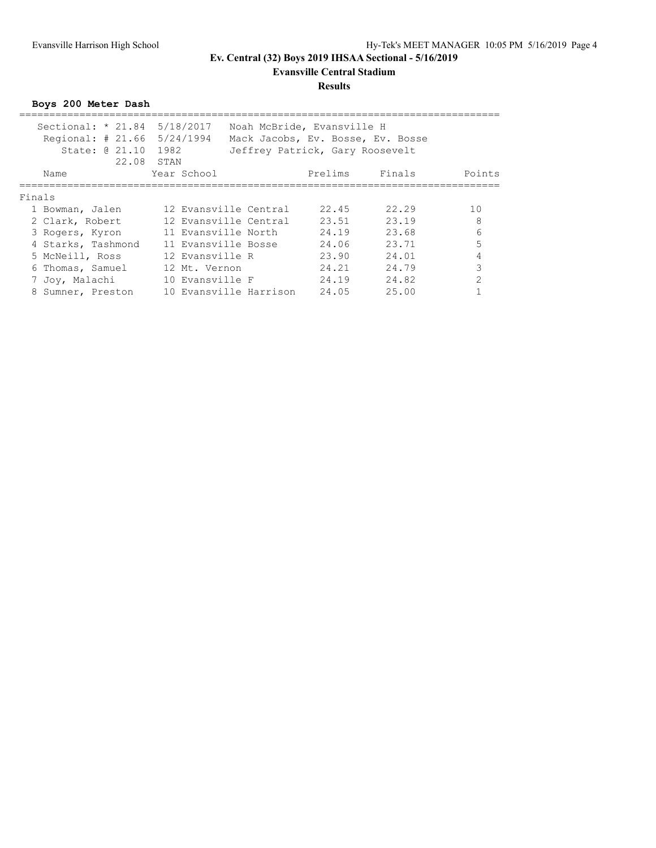### **Evansville Central Stadium**

#### **Results**

**Boys 200 Meter Dash**

| Sectional: * 21.84 5/18/2017<br>Regional: # 21.66 5/24/1994<br>State: 0 21.10 | 1982                | Noah McBride, Evansville H<br>Mack Jacobs, Ev. Bosse, Ev. Bosse<br>Jeffrey Patrick, Gary Roosevelt |         |        |               |
|-------------------------------------------------------------------------------|---------------------|----------------------------------------------------------------------------------------------------|---------|--------|---------------|
| 22.08<br>Name                                                                 | STAN<br>Year School |                                                                                                    | Prelims | Finals | Points        |
| Finals                                                                        |                     |                                                                                                    |         |        |               |
| 1 Bowman, Jalen                                                               |                     | 12 Evansville Central                                                                              | 22.45   | 22.29  | 10            |
| 2 Clark, Robert                                                               |                     | 12 Evansville Central                                                                              | 23.51   | 23.19  | 8             |
| 3 Rogers, Kyron                                                               | 11 Evansville North |                                                                                                    | 24.19   | 23.68  | 6             |
| 4 Starks, Tashmond                                                            | 11 Evansville Bosse |                                                                                                    | 24.06   | 23.71  | 5             |
| 5 McNeill, Ross                                                               | 12 Evansville R     |                                                                                                    | 23.90   | 24.01  | 4             |
| 6 Thomas, Samuel                                                              | 12 Mt. Vernon       |                                                                                                    | 24.21   | 24.79  | Κ             |
| 7 Joy, Malachi                                                                | 10 Evansville F     |                                                                                                    | 24.19   | 24.82  | $\mathcal{D}$ |
| 8 Sumner, Preston                                                             |                     | 10 Evansville Harrison                                                                             | 24.05   | 25.00  |               |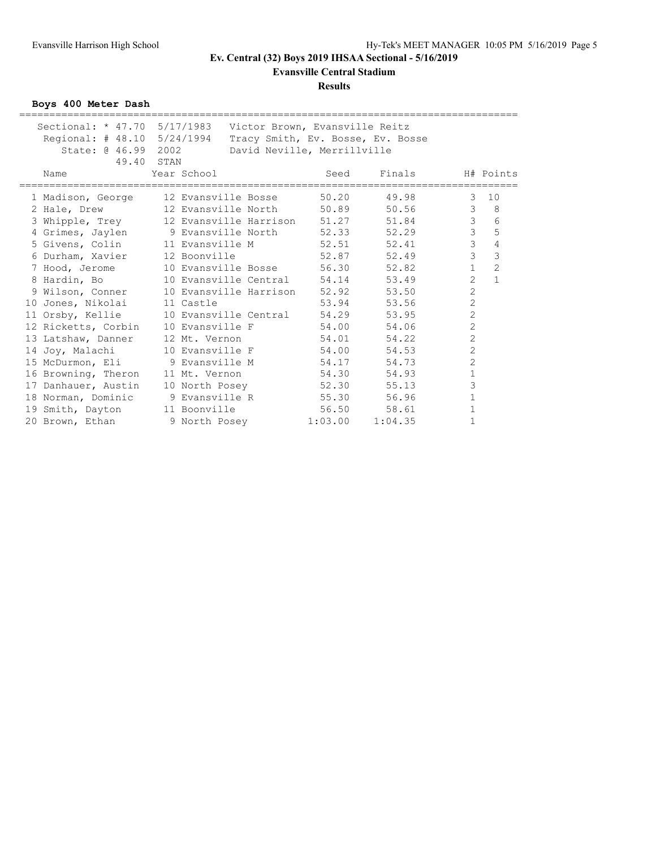**Evansville Central Stadium**

#### **Results**

**Boys 400 Meter Dash**

| Sectional: * 47.70 5/17/1983 Victor Brown, Evansville Reitz |                     |                                   |         |         |                |                |
|-------------------------------------------------------------|---------------------|-----------------------------------|---------|---------|----------------|----------------|
| Regional: # 48.10 5/24/1994                                 |                     | Tracy Smith, Ev. Bosse, Ev. Bosse |         |         |                |                |
| State: @ 46.99 2002                                         |                     | David Neville, Merrillville       |         |         |                |                |
|                                                             | 49.40 STAN          |                                   |         |         |                |                |
| Name                                                        | Year School         |                                   | Seed    | Finals  |                | H# Points      |
| 1 Madison, George                                           | 12 Evansville Bosse |                                   | 50.20   | 49.98   | 3              | 10             |
| 2 Hale, Drew 12 Evansville North 50.89                      |                     |                                   |         | 50.56   | 3              | 8              |
| 3 Whipple, Trey                                             |                     | 12 Evansville Harrison 51.27      |         | 51.84   | $\mathcal{S}$  | 6              |
| 4 Grimes, Jaylen 9 Evansville North 52.33                   |                     |                                   |         | 52.29   | $\overline{3}$ | 5              |
| 5 Givens, Colin                                             | 11 Evansville M     |                                   | 52.51   | 52.41   | $\mathfrak{S}$ | $\sqrt{4}$     |
| 6 Durham, Xavier                                            | 12 Boonville        |                                   | 52.87   | 52.49   | $\mathfrak{Z}$ | 3              |
| 7 Hood, Jerome                                              |                     | 10 Evansville Bosse 56.30         |         | 52.82   | $\mathbf{1}$   | $\overline{c}$ |
| 8 Hardin, Bo                                                |                     | 10 Evansville Central 54.14       |         | 53.49   | $\overline{2}$ | $\mathbf{1}$   |
| 9 Wilson, Conner 10 Evansville Harrison 52.92               |                     |                                   |         | 53.50   | $\overline{c}$ |                |
| 10 Jones, Nikolai                                           | 11 Castle           |                                   | 53.94   | 53.56   | $\overline{c}$ |                |
| 11 Orsby, Kellie 10 Evansville Central                      |                     |                                   | 54.29   | 53.95   | $\overline{c}$ |                |
| 12 Ricketts, Corbin 10 Evansville F 54.00                   |                     |                                   |         | 54.06   | $\overline{c}$ |                |
| 13 Latshaw, Danner 12 Mt. Vernon                            |                     |                                   | 54.01   | 54.22   | $\overline{c}$ |                |
| 14 Joy, Malachi 10 Evansville F 54.00                       |                     |                                   |         | 54.53   | $\overline{2}$ |                |
| 15 McDurmon, Eli 9 Evansville M                             |                     |                                   | 54.17   | 54.73   | $\overline{c}$ |                |
| 16 Browning, Theron 11 Mt. Vernon                           |                     |                                   | 54.30   | 54.93   | $\mathbf{1}$   |                |
| 17 Danhauer, Austin 10 North Posey                          |                     |                                   | 52.30   | 55.13   | 3              |                |
| 18 Norman, Dominic                                          |                     | 9 Evansville R                    | 55.30   | 56.96   | $\mathbf{1}$   |                |
| 19 Smith, Dayton                                            | 11 Boonville        |                                   | 56.50   | 58.61   | $1\,$          |                |
| 20 Brown, Ethan                                             |                     | 9 North Posey                     | 1:03.00 | 1:04.35 | $\mathbf{1}$   |                |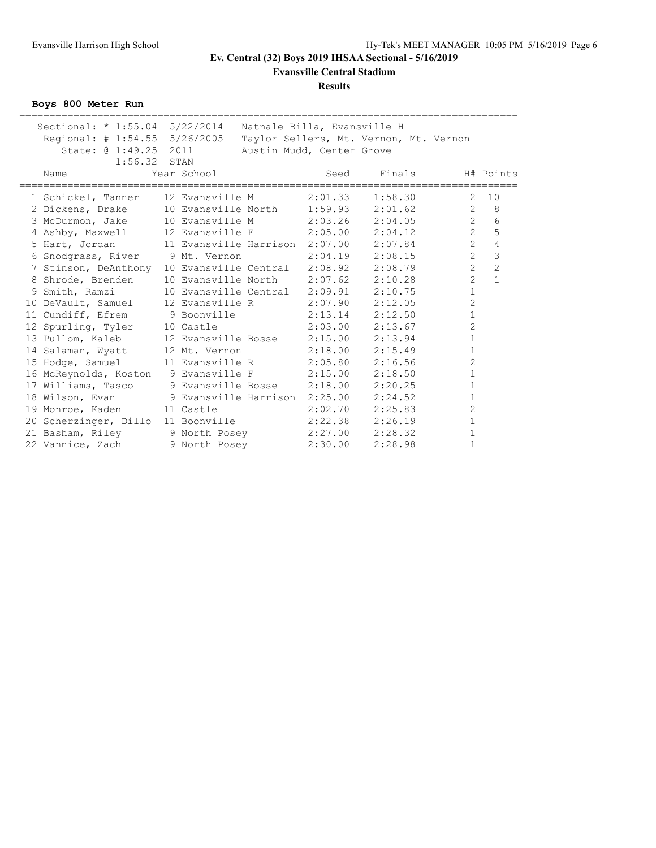**Evansville Central Stadium**

#### **Results**

**Boys 800 Meter Run**

| Sectional: $*$ 1:55.04 5/22/2014 Natnale Billa, Evansville H<br>Regional: # 1:54.55 5/26/2005 Taylor Sellers, Mt. Vernon, Mt. Vernon<br>State: @ 1:49.25 2011<br>$1:56.32$ STAN |                                       |         | Austin Mudd, Center Grove              |         |                |                |
|---------------------------------------------------------------------------------------------------------------------------------------------------------------------------------|---------------------------------------|---------|----------------------------------------|---------|----------------|----------------|
| Name                                                                                                                                                                            | Year School                           |         | Seed<br>============================== | Finals  | =============  | H# Points      |
| 1 Schickel, Tanner 12 Evansville M 2:01.33                                                                                                                                      |                                       |         |                                        | 1:58.30 | $\overline{2}$ | 10             |
| 2 Dickens, Drake 10 Evansville North 1:59.93 2:01.62                                                                                                                            |                                       |         |                                        |         | $\mathbf{2}$   | 8              |
| 3 McDurmon, Jake 10 Evansville M 2:03.26 2:04.05                                                                                                                                |                                       |         |                                        |         | $\overline{2}$ | $\sqrt{6}$     |
| 4 Ashby, Maxwell 12 Evansville F 2:05.00 2:04.12                                                                                                                                |                                       |         |                                        |         | $\overline{2}$ | 5              |
| 5 Hart, Jordan                                                                                                                                                                  |                                       |         |                                        |         | $\overline{2}$ | $\overline{4}$ |
| 6 Snodgrass, River 9 Mt. Vernon 2:04.19 2:08.15                                                                                                                                 |                                       |         |                                        |         | $\overline{2}$ | $\overline{3}$ |
| 7 Stinson, DeAnthony 10 Evansville Central 2:08.92                                                                                                                              |                                       |         |                                        | 2:08.79 | $\overline{2}$ | $\overline{c}$ |
| 8 Shrode, Brenden                                                                                                                                                               | 10 Evansville North 2:07.62 2:10.28   |         |                                        |         | $\overline{2}$ | $\mathbf{1}$   |
| 9 Smith, Ramzi                                                                                                                                                                  | 10 Evansville Central 2:09.91 2:10.75 |         |                                        |         | $\mathbf{1}$   |                |
| 10 DeVault, Samuel 12 Evansville R 2:07.90                                                                                                                                      |                                       |         |                                        | 2:12.05 | $\overline{c}$ |                |
| 11 Cundiff, Efrem 9 Boonville 2:13.14 2:12.50                                                                                                                                   |                                       |         |                                        |         | $\mathbf{1}$   |                |
| 12 Spurling, Tyler 10 Castle                                                                                                                                                    |                                       |         | $2:03.00$ $2:13.67$                    |         | $\overline{c}$ |                |
| 13 Pullom, Kaleb 12 Evansville Bosse 2:15.00                                                                                                                                    |                                       |         |                                        | 2:13.94 | $\mathbf{1}$   |                |
| 14 Salaman, Wyatt 12 Mt. Vernon 2:18.00 2:15.49                                                                                                                                 |                                       |         |                                        |         | $\mathbf{1}$   |                |
| 15 Hodge, Samuel 11 Evansville R 2:05.80 2:16.56                                                                                                                                |                                       |         |                                        |         | $\overline{2}$ |                |
| 16 McReynolds, Koston 9 Evansville F 2:15.00                                                                                                                                    |                                       |         |                                        | 2:18.50 | $\mathbf{1}$   |                |
| 17 Williams, Tasco 9 Evansville Bosse 2:18.00                                                                                                                                   |                                       |         |                                        | 2:20.25 | $\mathbf{1}$   |                |
| 18 Wilson, Evan (2008) 9 Evansville Harrison 2:25.00 2:24.52                                                                                                                    |                                       |         |                                        |         | $\mathbf{1}$   |                |
| 19 Monroe, Kaden 11 Castle                                                                                                                                                      |                                       |         | $2:02.70$ $2:25.83$                    |         | $\overline{c}$ |                |
| 20 Scherzinger, Dillo 11 Boonville 2:22.38                                                                                                                                      |                                       |         |                                        | 2:26.19 | $1\,$          |                |
| 21 Basham, Riley 9 North Posey 2:27.00 2:28.32                                                                                                                                  |                                       |         |                                        |         | $\mathbf{1}$   |                |
| 22 Vannice, Zach 9 North Posey                                                                                                                                                  |                                       | 2:30.00 |                                        | 2:28.98 | $\mathbf{1}$   |                |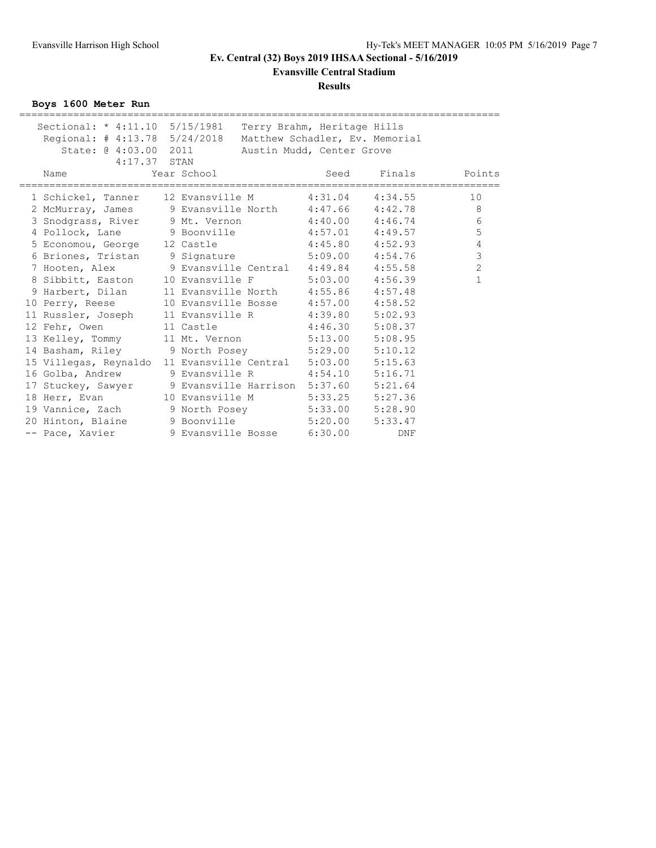**Evansville Central Stadium**

### **Results**

**Boys 1600 Meter Run**

| Sectional: * 4:11.10 5/15/1981 Terry Brahm, Heritage Hills   |                                      |                     |                           |         |                |
|--------------------------------------------------------------|--------------------------------------|---------------------|---------------------------|---------|----------------|
| Regional: # 4:13.78 5/24/2018 Matthew Schadler, Ev. Memorial |                                      |                     |                           |         |                |
| State: @ 4:03.00 2011 Austin Mudd, Center Grove              |                                      |                     |                           |         |                |
| $4:17.37$ STAN                                               |                                      |                     |                           |         |                |
| Name<br>----------------                                     | Year School                          |                     | Seed<br>================= | Finals  | Points         |
| 1 Schickel, Tanner 12 Evansville M 4:31.04 4:34.55           |                                      |                     |                           |         | 10             |
| 2 McMurray, James 9 Evansville North 4:47.66 4:42.78         |                                      |                     |                           |         | 8              |
| 3 Snodgrass, River 9 Mt. Vernon 4:40.00 4:46.74              |                                      |                     |                           |         | 6              |
| 4 Pollock, Lane 9 Boonville 4:57.01 4:49.57                  |                                      |                     |                           |         | 5              |
| 5 Economou, George 12 Castle                                 |                                      | $4:45.80$ $4:52.93$ |                           |         | 4              |
| 6 Briones, Tristan 9 Signature 5:09.00 4:54.76               |                                      |                     |                           |         | 3              |
| 7 Hooten, Alex 9 Evansville Central 4:49.84 4:55.58          |                                      |                     |                           |         | $\overline{2}$ |
| 8 Sibbitt, Easton 10 Evansville F 5:03.00 4:56.39            |                                      |                     |                           |         | $\mathbf{1}$   |
| 9 Harbert, Dilan 11 Evansville North 4:55.86 4:57.48         |                                      |                     |                           |         |                |
| 10 Perry, Reese 10 Evansville Bosse 4:57.00 4:58.52          |                                      |                     |                           |         |                |
| 11 Russler, Joseph 11 Evansville R 4:39.80 5:02.93           |                                      |                     |                           |         |                |
| 12 Fehr, Owen 11 Castle 4:46.30 5:08.37                      |                                      |                     |                           |         |                |
| 13 Kelley, Tommy 11 Mt. Vernon 5:13.00 5:08.95               |                                      |                     |                           |         |                |
| 14 Basham, Riley 9 North Posey 5:29.00 5:10.12               |                                      |                     |                           |         |                |
| 15 Villegas, Reynaldo 11 Evansville Central 5:03.00 5:15.63  |                                      |                     |                           |         |                |
| 16 Golba, Andrew                                             | 9 Evansville R    4:54.10    5:16.71 |                     |                           |         |                |
| 17 Stuckey, Sawyer 9 Evansville Harrison 5:37.60 5:21.64     |                                      |                     |                           |         |                |
| 18 Herr, Evan 10 Evansville M 5:33.25 5:27.36                |                                      |                     |                           |         |                |
| 19 Vannice, Zach 9 North Posey 5:33.00 5:28.90               |                                      |                     |                           |         |                |
| 20 Hinton, Blaine 9 Boonville 5:20.00                        |                                      |                     |                           | 5:33.47 |                |
| -- Pace, Xavier                                              | 9 Evansville Bosse 6:30.00           |                     |                           | DNF     |                |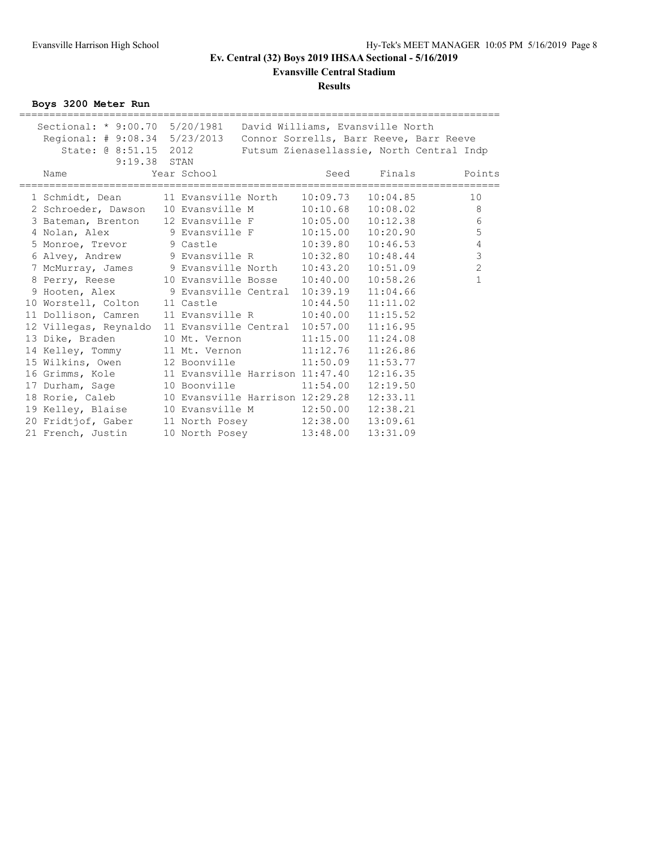**Evansville Central Stadium**

#### **Results**

**Boys 3200 Meter Run**

| Sectional: * 9:00.70 5/20/1981  David Williams, Evansville North      |             |                                           |                    |                   |
|-----------------------------------------------------------------------|-------------|-------------------------------------------|--------------------|-------------------|
| Regional: # 9:08.34 5/23/2013 Connor Sorrells, Barr Reeve, Barr Reeve |             |                                           |                    |                   |
| State: @ 8:51.15 2012 Futsum Zienasellassie, North Central Indp       |             |                                           |                    |                   |
| 9:19.38 STAN                                                          |             |                                           |                    |                   |
| Name                                                                  | Year School |                                           | Seed Finals Points | ================= |
| 1 Schmidt, Dean 11 Evansville North 10:09.73 10:04.85                 |             |                                           |                    | 10                |
| 2 Schroeder, Dawson 10 Evansville M 10:10.68 10:08.02                 |             |                                           |                    | 8                 |
| 3 Bateman, Brenton 12 Evansville F 10:05.00 10:12.38                  |             |                                           |                    | 6                 |
| 4 Nolan, Alex 9 Evansville F 10:15.00 10:20.90                        |             |                                           |                    | 5                 |
| 5 Monroe, Trevor 9 Castle 10:39.80                                    |             |                                           | 10:46.53           | $\sqrt{4}$        |
| 6 Alvey, Andrew 9 Evansville R 10:32.80 10:48.44                      |             |                                           |                    | $\mathfrak{Z}$    |
| 7 McMurray, James 9 Evansville North 10:43.20 10:51.09                |             |                                           |                    | $\overline{c}$    |
| 8 Perry, Reese 10 Evansville Bosse 10:40.00                           |             |                                           | 10:58.26           | $\mathbf{1}$      |
| 9 Hooten, Alex 9 Evansville Central 10:39.19 11:04.66                 |             |                                           |                    |                   |
| 10 Worstell, Colton 11 Castle 10:44.50 11:11.02                       |             |                                           |                    |                   |
| 11 Dollison, Camren 11 Evansville R 10:40.00                          |             |                                           | 11:15.52           |                   |
| 12 Villegas, Reynaldo 11 Evansville Central 10:57.00 11:16.95         |             |                                           |                    |                   |
| 13 Dike, Braden 10 Mt. Vernon 11:15.00 11:24.08                       |             |                                           |                    |                   |
| 14 Kelley, Tommy 11 Mt. Vernon 11:12.76                               |             |                                           | 11:26.86           |                   |
| 15 Wilkins, Owen                                                      |             | 12 Boonville 11:50.09                     | 11:53.77           |                   |
| 16 Grimms, Kole                                                       |             | 11 Evansville Harrison 11:47.40  12:16.35 |                    |                   |
| 17 Durham, Sage                                                       |             | 10 Boonville 11:54.00                     | 12:19.50           |                   |
| 18 Rorie, Caleb                                                       |             | 10 Evansville Harrison 12:29.28           | 12:33.11           |                   |
| 19 Kelley, Blaise                                                     |             |                                           |                    |                   |
| 20 Fridtjof, Gaber                                                    |             | 11 North Posey 12:38.00 13:09.61          |                    |                   |
| 21 French, Justin                                                     |             | 10 North Posey 13:48.00 13:31.09          |                    |                   |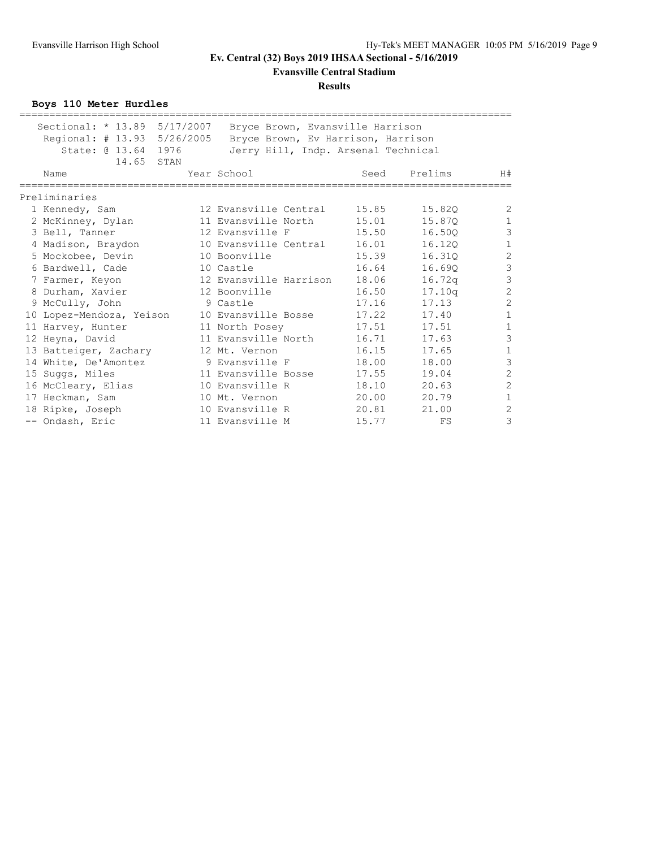**Evansville Central Stadium**

#### **Results**

**Boys 110 Meter Hurdles**

| Sectional: * 13.89 5/17/2007 | Bryce Brown, Evansville Harrison    |       |         |                |
|------------------------------|-------------------------------------|-------|---------|----------------|
| Regional: # 13.93 5/26/2005  | Bryce Brown, Ev Harrison, Harrison  |       |         |                |
| State: @ 13.64 1976          | Jerry Hill, Indp. Arsenal Technical |       |         |                |
| 14.65 STAN                   |                                     |       |         |                |
| Name                         | Year School                         | Seed  | Prelims | H#             |
| Preliminaries                |                                     |       |         |                |
| 1 Kennedy, Sam               | 12 Evansville Central               | 15.85 | 15.820  | $\overline{c}$ |
| 2 McKinney, Dylan            | 11 Evansville North                 | 15.01 | 15.870  | $1\,$          |
| 3 Bell, Tanner               | 12 Evansville F                     | 15.50 | 16.500  | $\overline{3}$ |
| 4 Madison, Braydon           | 10 Evansville Central               | 16.01 | 16.120  | $\mathbf{1}$   |
| 5 Mockobee, Devin            | 10 Boonville                        | 15.39 | 16.310  | $\overline{c}$ |
| 6 Bardwell, Cade             | 10 Castle                           | 16.64 | 16.690  | $\overline{3}$ |
| 7 Farmer, Keyon              | 12 Evansville Harrison              | 18.06 | 16.72q  | $\overline{3}$ |
| 8 Durham, Xavier             | 12 Boonville                        | 16.50 | 17.10q  | $\overline{c}$ |
| 9 McCully, John              | 9 Castle                            | 17.16 | 17.13   | $\overline{c}$ |
| 10 Lopez-Mendoza, Yeison     | 10 Evansville Bosse                 | 17.22 | 17.40   | $\mathbf{1}$   |
| 11 Harvey, Hunter            | 11 North Posey                      | 17.51 | 17.51   | $\mathbf{1}$   |
| 12 Heyna, David              | 11 Evansville North                 | 16.71 | 17.63   | $\overline{3}$ |
| 13 Batteiger, Zachary        | 12 Mt. Vernon                       | 16.15 | 17.65   | $1\,$          |
| 14 White, De'Amontez         | 9 Evansville F                      | 18.00 | 18.00   | $\overline{3}$ |
| 15 Suggs, Miles              | 11 Evansville Bosse                 | 17.55 | 19.04   | $\overline{c}$ |
| 16 McCleary, Elias           | 10 Evansville R                     | 18.10 | 20.63   | $\overline{c}$ |
| 17 Heckman, Sam              | 10 Mt. Vernon                       | 20.00 | 20.79   | $\mathbf 1$    |
| 18 Ripke, Joseph             | 10 Evansville R                     | 20.81 | 21.00   | $\overline{c}$ |
| -- Ondash, Eric              | 11 Evansville M                     | 15.77 | FS      | 3              |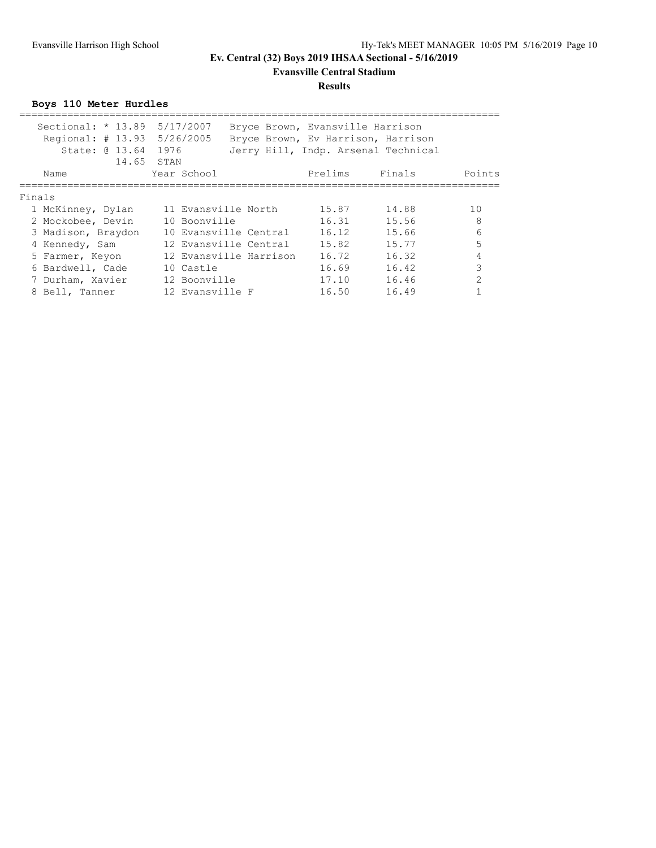### **Evansville Central Stadium**

### **Results**

**Boys 110 Meter Hurdles**

| Name   | Year School                                                                                                                                                                   |                                                                                   | Prelims                                                                                                                                            | Finals | Points                                                                                                        |
|--------|-------------------------------------------------------------------------------------------------------------------------------------------------------------------------------|-----------------------------------------------------------------------------------|----------------------------------------------------------------------------------------------------------------------------------------------------|--------|---------------------------------------------------------------------------------------------------------------|
| Finals |                                                                                                                                                                               |                                                                                   |                                                                                                                                                    |        |                                                                                                               |
|        |                                                                                                                                                                               |                                                                                   | 15.87                                                                                                                                              | 14.88  | 10                                                                                                            |
|        |                                                                                                                                                                               |                                                                                   | 16.31                                                                                                                                              | 15.56  | 8                                                                                                             |
|        |                                                                                                                                                                               |                                                                                   | 16.12                                                                                                                                              | 15.66  | 6                                                                                                             |
|        |                                                                                                                                                                               |                                                                                   | 15.82                                                                                                                                              | 15.77  | 5                                                                                                             |
|        |                                                                                                                                                                               |                                                                                   | 16.72                                                                                                                                              | 16.32  | 4                                                                                                             |
|        | 10 Castle                                                                                                                                                                     |                                                                                   | 16.69                                                                                                                                              | 16.42  | 3                                                                                                             |
|        |                                                                                                                                                                               |                                                                                   | 17.10                                                                                                                                              | 16.46  | $\mathfrak{D}$                                                                                                |
|        |                                                                                                                                                                               |                                                                                   | 16.50                                                                                                                                              | 16.49  |                                                                                                               |
|        | State: 0 13.64<br>1 McKinney, Dylan<br>2 Mockobee, Devin<br>3 Madison, Braydon<br>4 Kennedy, Sam<br>5 Farmer, Keyon<br>6 Bardwell, Cade<br>7 Durham, Xavier<br>8 Bell, Tanner | Sectional: * 13.89 5/17/2007<br>Regional: # 13.93 5/26/2005<br>1976<br>14,65 STAN | 11 Evansville North<br>10 Boonville<br>10 Evansville Central<br>12 Evansville Central<br>12 Evansville Harrison<br>12 Boonville<br>12 Evansville F |        | Bryce Brown, Evansville Harrison<br>Bryce Brown, Ev Harrison, Harrison<br>Jerry Hill, Indp. Arsenal Technical |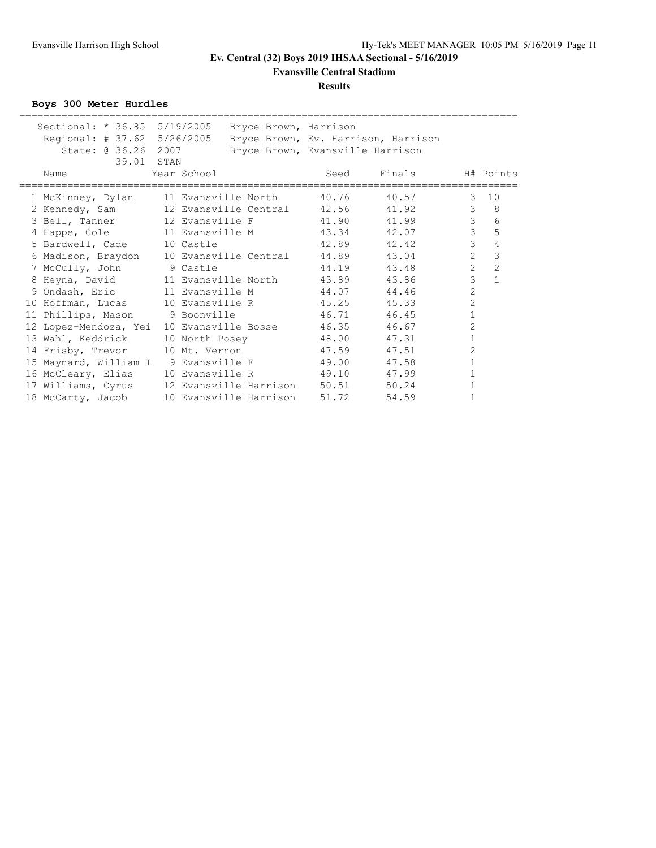**Evansville Central Stadium**

### **Results**

**Boys 300 Meter Hurdles**

| Sectional: * 36.85 5/19/2005                         |                        | Bryce Brown, Harrison |                                  |                                     |                |                |
|------------------------------------------------------|------------------------|-----------------------|----------------------------------|-------------------------------------|----------------|----------------|
| Regional: # 37.62 5/26/2005                          |                        |                       |                                  | Bryce Brown, Ev. Harrison, Harrison |                |                |
| State: @ 36.26 2007                                  |                        |                       | Bryce Brown, Evansville Harrison |                                     |                |                |
| 39.01 STAN                                           |                        |                       |                                  |                                     |                |                |
| Name                                                 | Year School            |                       | Seed                             | Finals                              |                | H# Points      |
| 1 McKinney, Dylan 11 Evansville North                |                        |                       | 40.76                            | 40.57                               | 3              | 10             |
|                                                      |                        |                       |                                  |                                     | $\mathcal{S}$  | $_{\rm 8}$     |
| 3 Bell, Tanner 12 Evansville F 41.90                 |                        |                       |                                  | 41.99                               | $\mathcal{E}$  | 6              |
| 4 Happe, Cole 11 Evansville M 43.34 42.07            |                        |                       |                                  |                                     | $\mathcal{E}$  | 5              |
| 5 Bardwell, Cade 10 Castle                           |                        |                       | 42.89 42.42                      |                                     | $\mathcal{S}$  | $\overline{4}$ |
| 6 Madison, Braydon 10 Evansville Central 44.89 43.04 |                        |                       |                                  |                                     | $\overline{2}$ | $\mathfrak{Z}$ |
| 7 McCully, John 9 Castle                             |                        |                       | 44.19                            | 43.48                               | $\overline{2}$ | $\overline{c}$ |
|                                                      |                        |                       |                                  | 43.86                               | $\mathfrak{Z}$ | $\mathbf{1}$   |
| 9 Ondash, Eric 11 Evansville M                       |                        |                       | 44.07                            | 44.46                               | $\overline{c}$ |                |
| 10 Hoffman, Lucas 10 Evansville R 45.25              |                        |                       |                                  | 45.33                               | $\overline{c}$ |                |
| 11 Phillips, Mason 9 Boonville 46.71                 |                        |                       |                                  | 46.45                               | $\mathbf 1$    |                |
| 12 Lopez-Mendoza, Yei                                |                        |                       | 10 Evansville Bosse 46.35        | 46.67                               | $\overline{2}$ |                |
| 13 Wahl, Keddrick                                    |                        |                       | 10 North Posey 48.00             | 47.31                               | $\mathbf 1$    |                |
| 14 Frisby, Trevor 10 Mt. Vernon                      |                        |                       | 47.59                            | 47.51                               | 2              |                |
| 15 Maynard, William I 9 Evansville F 49.00           |                        |                       |                                  | 47.58                               | $\mathbf 1$    |                |
| 16 McCleary, Elias                                   |                        |                       | 10 Evansville R 49.10 47.99      |                                     | 1              |                |
| 17 Williams, Cyrus 12 Evansville Harrison 50.51      |                        |                       |                                  | 50.24                               | $\mathbf 1$    |                |
| 18 McCarty, Jacob                                    | 10 Evansville Harrison |                       | 51.72                            | 54.59                               | 1              |                |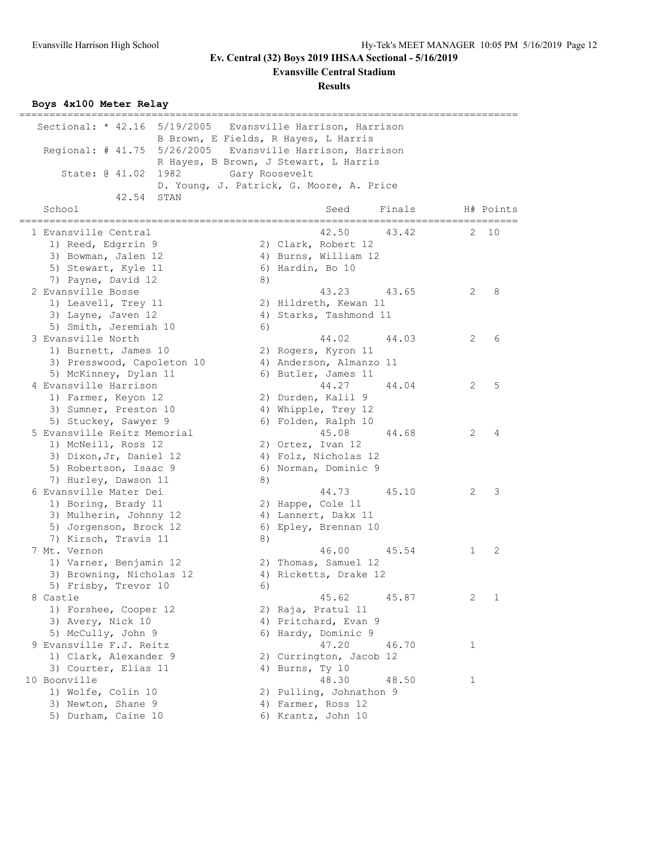**Evansville Central Stadium**

**Results**

### **Boys 4x100 Meter Relay**

| Sectional: * 42.16 5/19/2005                              |                | Evansville Harrison, Harrison            |        |    |           |
|-----------------------------------------------------------|----------------|------------------------------------------|--------|----|-----------|
|                                                           |                | B Brown, E Fields, R Hayes, L Harris     |        |    |           |
| Regional: # 41.75 5/26/2005 Evansville Harrison, Harrison |                |                                          |        |    |           |
|                                                           |                | R Hayes, B Brown, J Stewart, L Harris    |        |    |           |
| State: @ 41.02<br>1982                                    | Gary Roosevelt |                                          |        |    |           |
|                                                           |                | D. Young, J. Patrick, G. Moore, A. Price |        |    |           |
| 42.54<br>STAN                                             |                |                                          |        |    |           |
| School                                                    |                | Seed                                     | Finals |    | H# Points |
|                                                           |                |                                          |        |    |           |
| 1 Evansville Central                                      |                | 42.50                                    | 43.42  | 2. | 10        |
| 1) Reed, Edgrrin 9                                        |                | 2) Clark, Robert 12                      |        |    |           |
| 3) Bowman, Jalen 12                                       |                | 4) Burns, William 12                     |        |    |           |
| 5) Stewart, Kyle 11                                       |                | 6) Hardin, Bo 10                         |        |    |           |
| 7) Payne, David 12                                        | 8)             |                                          |        |    |           |
| 2 Evansville Bosse                                        |                | 43.23                                    | 43.65  | 2  | 8         |
| 1) Leavell, Trey 11                                       |                | 2) Hildreth, Kewan 11                    |        |    |           |
| 3) Layne, Javen 12                                        |                | 4) Starks, Tashmond 11                   |        |    |           |
| 5) Smith, Jeremiah 10                                     | 6)             |                                          |        |    |           |
| 3 Evansville North                                        |                | 44.02                                    | 44.03  | 2  | 6         |
| 1) Burnett, James 10                                      |                | 2) Rogers, Kyron 11                      |        |    |           |
| 3) Presswood, Capoleton 10                                |                | 4) Anderson, Almanzo 11                  |        |    |           |
| 5) McKinney, Dylan 11                                     |                | 6) Butler, James 11                      |        |    |           |
| 4 Evansville Harrison                                     |                | 44.27                                    | 44.04  | 2  | 5         |
| 1) Farmer, Keyon 12                                       |                | 2) Durden, Kalil 9                       |        |    |           |
| 3) Sumner, Preston 10                                     |                | 4) Whipple, Trey 12                      |        |    |           |
| 5) Stuckey, Sawyer 9                                      |                | 6) Folden, Ralph 10                      |        |    |           |
| 5 Evansville Reitz Memorial                               |                | 45.08                                    | 44.68  | 2  | 4         |
| 1) McNeill, Ross 12                                       |                | 2) Ortez, Ivan 12                        |        |    |           |
| 3) Dixon, Jr, Daniel 12                                   |                | 4) Folz, Nicholas 12                     |        |    |           |
| 5) Robertson, Isaac 9                                     |                | 6) Norman, Dominic 9                     |        |    |           |
| 7) Hurley, Dawson 11                                      | 8)             |                                          |        |    |           |
| 6 Evansville Mater Dei                                    |                | 44.73                                    | 45.10  | 2  | 3         |
| 1) Boring, Brady 11                                       |                | 2) Happe, Cole 11                        |        |    |           |
| 3) Mulherin, Johnny 12                                    |                | 4) Lannert, Dakx 11                      |        |    |           |
| 5) Jorgenson, Brock 12                                    |                | 6) Epley, Brennan 10                     |        |    |           |
| 7) Kirsch, Travis 11<br>7 Mt. Vernon                      | 8)             |                                          |        |    |           |
|                                                           |                | 46.00                                    | 45.54  | 1  | 2         |
| 1) Varner, Benjamin 12                                    |                | 2) Thomas, Samuel 12                     |        |    |           |
| 3) Browning, Nicholas 12                                  |                | 4) Ricketts, Drake 12                    |        |    |           |
| 5) Frisby, Trevor 10                                      | 6)             |                                          |        |    |           |
| 8 Castle                                                  |                | 45.62                                    | 45.87  | 2  | 1         |
| 1) Forshee, Cooper 12                                     |                | 2) Raja, Pratul 11                       |        |    |           |
| 3) Avery, Nick 10                                         |                | 4) Pritchard, Evan 9                     |        |    |           |
| 5) McCully, John 9                                        |                | 6) Hardy, Dominic 9                      |        |    |           |
| 9 Evansville F.J. Reitz                                   |                | 47.20                                    | 46.70  | 1  |           |
| 1) Clark, Alexander 9                                     |                | 2) Currington, Jacob 12                  |        |    |           |
| 3) Courter, Elias 11                                      |                | 4) Burns, Ty 10                          |        |    |           |
| 10 Boonville<br>1) Wolfe, Colin 10                        |                | 48.30                                    | 48.50  | 1  |           |
|                                                           |                | 2) Pulling, Johnathon 9                  |        |    |           |
| 3) Newton, Shane 9<br>5) Durham, Caine 10                 |                | 4) Farmer, Ross 12                       |        |    |           |
|                                                           |                | 6) Krantz, John 10                       |        |    |           |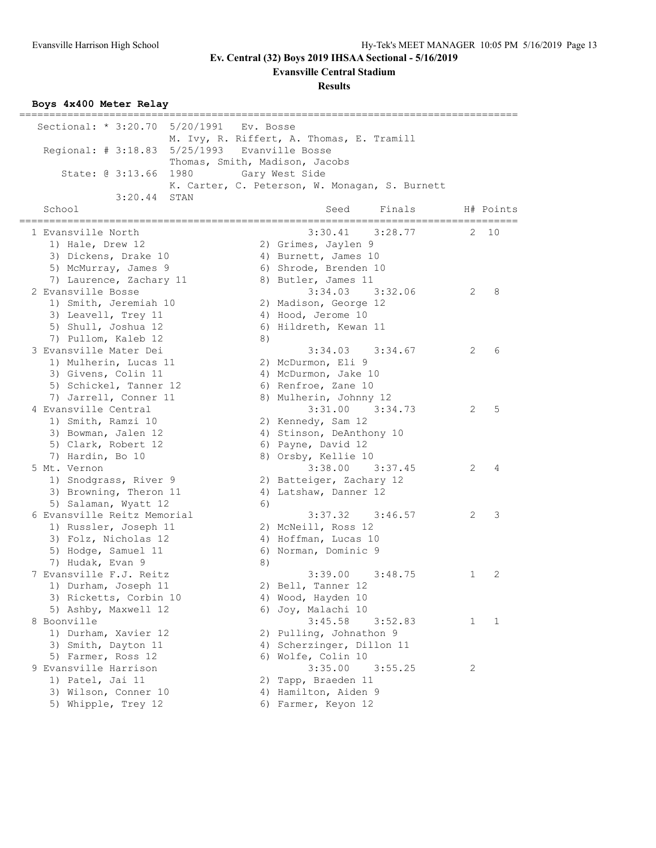**Evansville Central Stadium**

**Results**

#### **Boys 4x400 Meter Relay**

=================================================================================== Sectional: \* 3:20.70 5/20/1991 Ev. Bosse M. Ivy, R. Riffert, A. Thomas, E. Tramill Regional: # 3:18.83 5/25/1993 Evanville Bosse Thomas, Smith, Madison, Jacobs State: @ 3:13.66 1980 Gary West Side K. Carter, C. Peterson, W. Monagan, S. Burnett 3:20.44 STAN School Seed Finals H# Points =================================================================================== 1 Evansville North 3:30.41 3:28.77 2 10 1) Hale, Drew 12 2) Grimes, Jaylen 9 3) Dickens, Drake 10 (4) Burnett, James 10 5) McMurray, James 9 6) Shrode, Brenden 10 7) Laurence, Zachary 11 (8) Butler, James 11 2 Evansville Bosse 3:34.03 3:32.06 2 8 1) Smith, Jeremiah 10 2) Madison, George 12 3) Leavell, Trey 11 4) Hood, Jerome 10 5) Shull, Joshua 12 6) Hildreth, Kewan 11 7) Pullom, Kaleb 12 8) 3 Evansville Mater Dei 3:34.03 3:34.67 2 6 1) Mulherin, Lucas 11 2) McDurmon, Eli 9 3) Givens, Colin 11 (4) McDurmon, Jake 10 5) Schickel, Tanner 12 (6) Renfroe, Zane 10 7) Jarrell, Conner 11 8) Mulherin, Johnny 12 4 Evansville Central 3:31.00 3:34.73 2 5 1) Smith, Ramzi 10 2) Kennedy, Sam 12 3) Bowman, Jalen 12 4) Stinson, DeAnthony 10 5) Clark, Robert 12 6) Payne, David 12 7) Hardin, Bo 10 8) Orsby, Kellie 10 5 Mt. Vernon 3:38.00 3:37.45 2 4 1) Snodgrass, River 9 2) Batteiger, Zachary 12 3) Browning, Theron 11 4) Latshaw, Danner 12 5) Salaman, Wyatt 12 (6) 6 Evansville Reitz Memorial 3:37.32 3:46.57 2 3 1) Russler, Joseph 11 2) McNeill, Ross 12 3) Folz, Nicholas 12 (4) Hoffman, Lucas 10 5) Hodge, Samuel 11 6) Norman, Dominic 9 7) Hudak, Evan 9 8) 7 Evansville F.J. Reitz 3:39.00 3:48.75 1 2 1) Durham, Joseph 11 2) Bell, Tanner 12 3) Ricketts, Corbin 10 4) Wood, Hayden 10 5) Ashby, Maxwell 12 6) Joy, Malachi 10 8 Boonville 20 20 20 20 20 20 3:45.58 3:52.83 20 3:45.58 3:52.83 20 3:52.83 3:52.83 3:52.83 3:52.83 3:52.83 3:52.83 3:52.83 3:52.83 3:52.83 3:52.83 3:52.83 3:52.83 3:52.83 3:52.83 3:52.83 3:52.83 3:52.83 3:52.83 3:52.83 3: 1) Durham, Xavier 12 2) Pulling, Johnathon 9 3) Smith, Dayton 11 4) Scherzinger, Dillon 11 5) Farmer, Ross 12 6) Wolfe, Colin 10 9 Evansville Harrison 3:35.00 3:55.25 2 1) Patel, Jai 11 2) Tapp, Braeden 11 3) Wilson, Conner 10 (4) Hamilton, Aiden 9 5) Whipple, Trey 12 6) Farmer, Keyon 12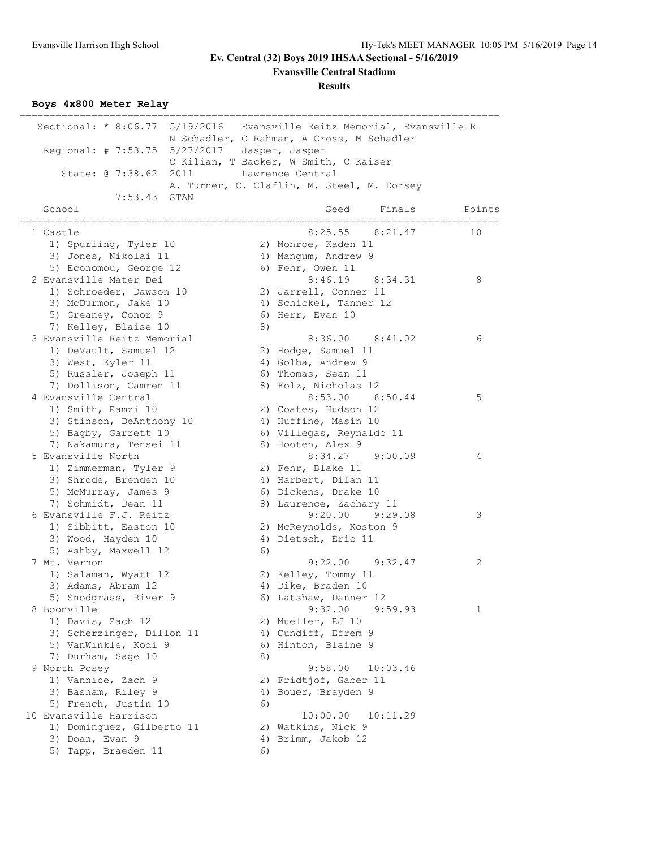**Evansville Central Stadium**

**Results**

**Boys 4x800 Meter Relay**

| Sectional: * 8:06.77 5/19/2016 Evansville Reitz Memorial, Evansville R |    |                                            |        |
|------------------------------------------------------------------------|----|--------------------------------------------|--------|
|                                                                        |    | N Schadler, C Rahman, A Cross, M Schadler  |        |
| Regional: # 7:53.75 5/27/2017 Jasper, Jasper                           |    |                                            |        |
|                                                                        |    | C Kilian, T Backer, W Smith, C Kaiser      |        |
| State: @ 7:38.62 2011                                                  |    | Lawrence Central                           |        |
|                                                                        |    | A. Turner, C. Claflin, M. Steel, M. Dorsey |        |
| $7:53.43$ STAN                                                         |    |                                            |        |
| School                                                                 |    | Finals<br>Seed                             | Points |
|                                                                        |    |                                            |        |
| 1 Castle                                                               |    | $8:25.55$ $8:21.47$                        | 10     |
| 1) Spurling, Tyler 10                                                  |    | 2) Monroe, Kaden 11                        |        |
| 3) Jones, Nikolai 11                                                   |    | 4) Mangum, Andrew 9                        |        |
| 5) Economou, George 12                                                 |    | 6) Fehr, Owen 11                           |        |
| 2 Evansville Mater Dei                                                 |    | $8:46.19$ $8:34.31$                        | 8      |
| 1) Schroeder, Dawson 10                                                |    | 2) Jarrell, Conner 11                      |        |
| 3) McDurmon, Jake 10                                                   |    | 4) Schickel, Tanner 12                     |        |
| 5) Greaney, Conor 9                                                    |    | 6) Herr, Evan 10                           |        |
| 7) Kelley, Blaise 10                                                   | 8) |                                            |        |
| 3 Evansville Reitz Memorial                                            |    | $8:36.00$ $8:41.02$                        | 6      |
| 1) DeVault, Samuel 12                                                  |    | 2) Hodge, Samuel 11                        |        |
|                                                                        |    | 4) Golba, Andrew 9                         |        |
| 3) West, Kyler 11                                                      |    |                                            |        |
| 5) Russler, Joseph 11                                                  |    | 6) Thomas, Sean 11                         |        |
| 7) Dollison, Camren 11                                                 |    | 8) Folz, Nicholas 12                       |        |
| 4 Evansville Central                                                   |    | 8:53.00 8:50.44                            | 5      |
| 1) Smith, Ramzi 10                                                     |    | 2) Coates, Hudson 12                       |        |
| 3) Stinson, DeAnthony 10                                               |    | 4) Huffine, Masin 10                       |        |
| 5) Bagby, Garrett 10                                                   |    | 6) Villegas, Reynaldo 11                   |        |
| 7) Nakamura, Tensei 11                                                 |    | 8) Hooten, Alex 9                          |        |
| 5 Evansville North                                                     |    | 8:34.27 9:00.09                            | 4      |
| 1) Zimmerman, Tyler 9                                                  |    | 2) Fehr, Blake 11                          |        |
| 3) Shrode, Brenden 10                                                  |    | 4) Harbert, Dilan 11                       |        |
| 5) McMurray, James 9                                                   |    | 6) Dickens, Drake 10                       |        |
| 7) Schmidt, Dean 11                                                    |    | 8) Laurence, Zachary 11                    |        |
| 6 Evansville F.J. Reitz                                                |    | $9:20.00$ $9:29.08$                        | 3      |
| 1) Sibbitt, Easton 10                                                  |    | 2) McReynolds, Koston 9                    |        |
| 3) Wood, Hayden 10                                                     |    | 4) Dietsch, Eric 11                        |        |
| 5) Ashby, Maxwell 12                                                   | 6) |                                            |        |
| 7 Mt. Vernon                                                           |    | $9:22.00$ $9:32.47$                        | 2      |
| 1) Salaman, Wyatt 12                                                   |    | 2) Kelley, Tommy 11                        |        |
| 3) Adams, Abram 12                                                     |    | 4) Dike, Braden 10                         |        |
| 5) Snodgrass, River 9                                                  |    | 6) Latshaw, Danner 12                      |        |
| 8 Boonville                                                            |    | 9:32.00<br>9:59.93                         | 1      |
| 1) Davis, Zach 12                                                      |    | 2) Mueller, RJ 10                          |        |
| 3) Scherzinger, Dillon 11                                              |    | 4) Cundiff, Efrem 9                        |        |
| 5) VanWinkle, Kodi 9                                                   |    | 6) Hinton, Blaine 9                        |        |
| 7) Durham, Sage 10                                                     | 8) |                                            |        |
| 9 North Posey                                                          |    | 9:58.00<br>10:03.46                        |        |
| 1) Vannice, Zach 9                                                     |    | 2) Fridtjof, Gaber 11                      |        |
| 3) Basham, Riley 9                                                     |    | 4) Bouer, Brayden 9                        |        |
| 5) French, Justin 10                                                   | 6) |                                            |        |
| 10 Evansville Harrison                                                 |    | 10:00.00<br>10:11.29                       |        |
| 1) Dominguez, Gilberto 11                                              |    | 2) Watkins, Nick 9                         |        |
| 3) Doan, Evan 9                                                        |    | 4) Brimm, Jakob 12                         |        |
| 5) Tapp, Braeden 11                                                    | 6) |                                            |        |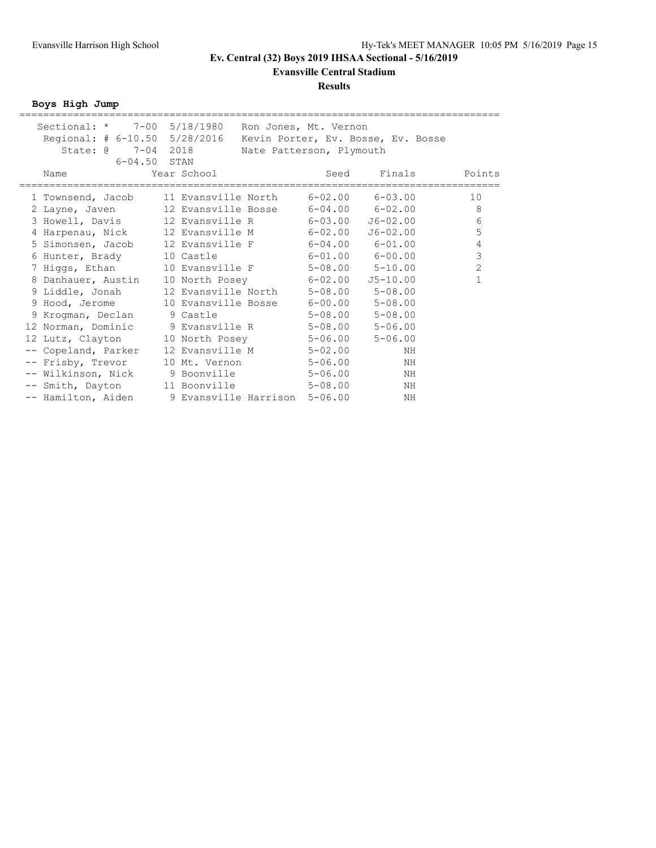**Evansville Central Stadium**

#### **Results**

**Boys High Jump**

| Sectional: * 7-00 5/18/1980   | Ron Jones, Mt. Vernon                                 |      |                                    |                |
|-------------------------------|-------------------------------------------------------|------|------------------------------------|----------------|
| Regional: # 6-10.50 5/28/2016 |                                                       |      | Kevin Porter, Ev. Bosse, Ev. Bosse |                |
| State: @ 7-04 2018            | Nate Patterson, Plymouth                              |      |                                    |                |
| 6-04.50 STAN                  |                                                       |      |                                    |                |
| Name                          | Year School                                           | Seed | Finals                             | Points         |
|                               | 1 Townsend, Jacob 11 Evansville North 6-02.00 6-03.00 |      |                                    | 10             |
|                               | 2 Layne, Javen 12 Evansville Bosse 6-04.00 6-02.00    |      |                                    | 8              |
|                               | 3 Howell, Davis 12 Evansville R 6-03.00               |      | J6-02.00                           | $\epsilon$     |
|                               | 4 Harpenau, Nick 12 Evansville M 6-02.00              |      | J6-02.00                           | 5              |
|                               | 5 Simonsen, Jacob 12 Evansville F 6-04.00 6-01.00     |      |                                    | $\overline{4}$ |
|                               |                                                       |      |                                    | $\mathfrak{Z}$ |
| 6 Hunter, Brady               | 10 Castle 6-01.00 6-00.00                             |      |                                    |                |
| 7 Higgs, Ethan                | 10 Evansville F 5-08.00 5-10.00                       |      |                                    | 2              |
| 8 Danhauer, Austin            | 10 North Posey 6-02.00                                |      | $J5 - 10.00$                       | $\mathbf{1}$   |
| 9 Liddle, Jonah               | 12 Evansville North 5-08.00 5-08.00                   |      |                                    |                |
| 9 Hood, Jerome                | 10 Evansville Bosse 6-00.00 5-08.00                   |      |                                    |                |
| 9 Krogman, Declan 9 Castle    | $5-08.00$ $5-08.00$                                   |      |                                    |                |
|                               | 12 Norman, Dominic 9 Evansville R 5-08.00 5-06.00     |      |                                    |                |
| 12 Lutz, Clayton              | 10 North Posey 5-06.00                                |      | $5 - 06.00$                        |                |
| -- Copeland, Parker           | 12 Evansville M 5-02.00                               |      | ΝH                                 |                |
| -- Frisby, Trevor             | 10 Mt. Vernon 5-06.00                                 |      | ΝH                                 |                |
|                               | -- Wilkinson, Nick 9 Boonville 5-06.00                |      | ΝH                                 |                |
| -- Smith, Dayton              | 11 Boonville 5-08.00                                  |      | ΝH                                 |                |
|                               | -- Hamilton, Aiden 9 Evansville Harrison 5-06.00      |      | ΝH                                 |                |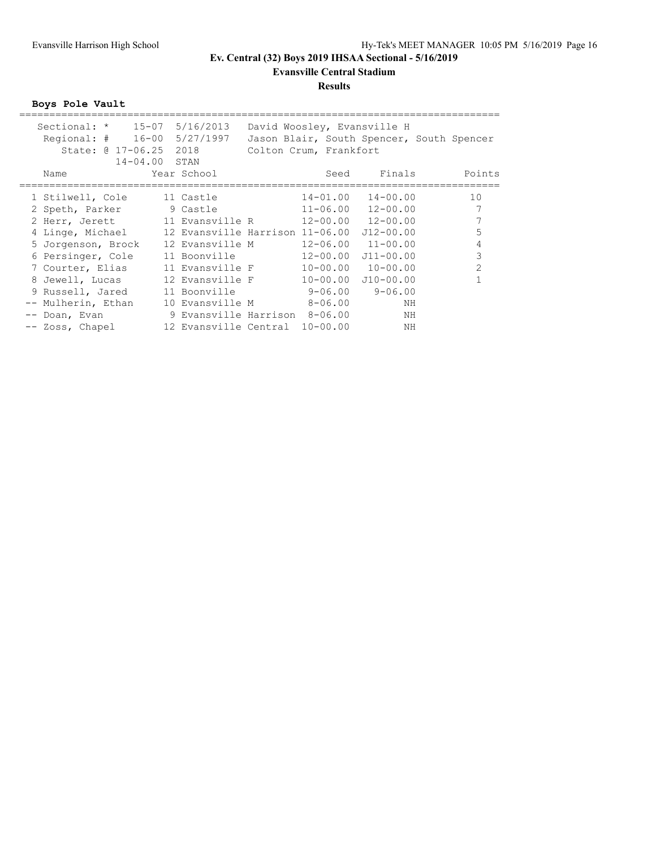### **Evansville Central Stadium**

#### **Results**

**Boys Pole Vault**

| Sectional: *<br>Regional: $\#$ 16-00 | $15 - 07$<br>State: @ 17-06.25 | 5/16/2013<br>5/27/1997<br>2018  | David Woosley, Evansville H<br>Colton Crum, Frankfort |               | Jason Blair, South Spencer, South Spencer |
|--------------------------------------|--------------------------------|---------------------------------|-------------------------------------------------------|---------------|-------------------------------------------|
|                                      | $14 - 04.00$ STAN              |                                 |                                                       |               |                                           |
| Name                                 |                                | Year School                     | Seed                                                  | Finals        | Points                                    |
|                                      |                                |                                 |                                                       |               |                                           |
| 1 Stilwell, Cole                     |                                | 11 Castle                       | 14-01.00                                              | $14 - 00.00$  | 10                                        |
| 2 Speth, Parker                      |                                | 9 Castle                        | $11 - 06.00$                                          | $12 - 00.00$  | 7                                         |
| 2 Herr, Jerett                       |                                | 11 Evansville R                 | 12-00.00                                              | $12 - 00.00$  |                                           |
| 4 Linge, Michael                     |                                | 12 Evansville Harrison 11-06.00 |                                                       | $J12 - 00.00$ | 5                                         |
| 5 Jorgenson, Brock                   |                                | 12 Evansville M                 | 12-06.00                                              | $11 - 00.00$  | 4                                         |
| 6 Persinger, Cole                    |                                | 11 Boonville                    | $12 - 00.00$                                          | $J11 - 00.00$ | 3                                         |
| 7 Courter, Elias                     |                                | 11 Evansville F                 | $10 - 00.00$                                          | $10 - 00.00$  | $\overline{2}$                            |
| 8 Jewell, Lucas                      |                                | 12 Evansville F                 | $10 - 00.00$                                          | $J10-00.00$   |                                           |
| 9 Russell, Jared                     |                                | 11 Boonville                    | 9-06.00                                               | $9 - 06.00$   |                                           |
| Mulherin, Ethan                      |                                | 10 Evansville M                 | 8-06.00                                               | NΗ            |                                           |
| Doan, Evan                           |                                | 9 Evansville Harrison 8-06.00   |                                                       | NΗ            |                                           |
| -- Zoss, Chapel                      |                                | 12 Evansville Central           | $10 - 00.00$                                          | ΝH            |                                           |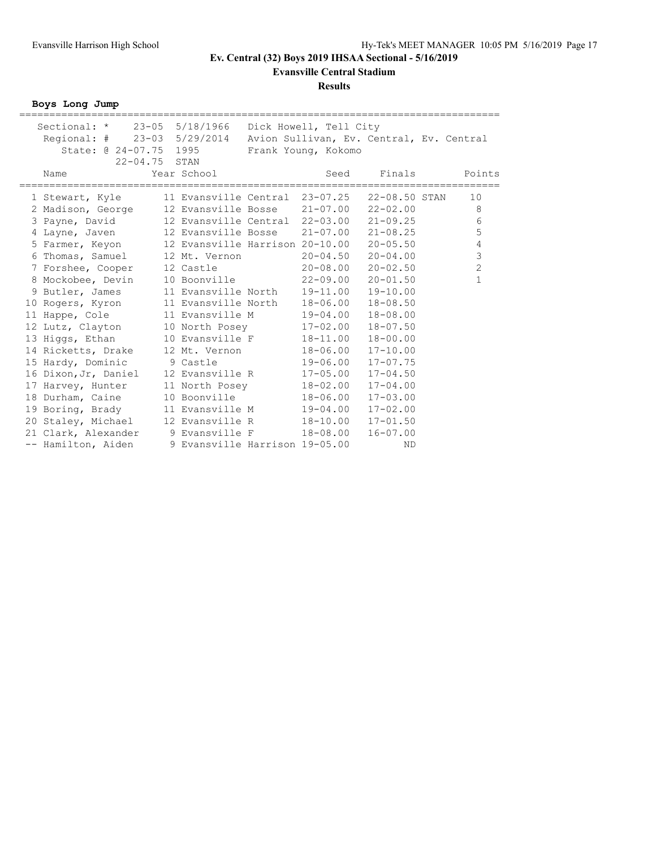**Evansville Central Stadium**

#### **Results**

**Boys Long Jump**

| Sectional: * 23-05 5/18/1966 Dick Howell, Tell City                  |                                              |                      |              |                             |
|----------------------------------------------------------------------|----------------------------------------------|----------------------|--------------|-----------------------------|
| Regional: # 23-03 5/29/2014 Avion Sullivan, Ev. Central, Ev. Central |                                              |                      |              |                             |
| State: @ 24-07.75 1995                                               |                                              | Frank Young, Kokomo  |              |                             |
| $22 - 04.75$ STAN                                                    |                                              |                      |              |                             |
| Name                                                                 | Year School<br>=======                       | Seed<br>============ | Finals       | Points<br>================= |
| 1 Stewart, Kyle                                                      | 11 Evansville Central 23-07.25 22-08.50 STAN |                      |              | 10                          |
| 2 Madison, George                                                    | 12 Evansville Bosse 21-07.00 22-02.00        |                      |              | 8                           |
| 3 Payne, David                                                       | 12 Evansville Central 22-03.00               |                      | $21 - 09.25$ | $6\,$                       |
| 4 Layne, Javen                                                       | 12 Evansville Bosse 21-07.00 21-08.25        |                      |              | 5                           |
| 5 Farmer, Keyon                                                      |                                              |                      |              | $\overline{4}$              |
| 6 Thomas, Samuel                                                     | 12 Mt. Vernon                                | $20 - 04.50$         | $20 - 04.00$ | $\mathfrak{Z}$              |
| 7 Forshee, Cooper                                                    | 12 Castle to the state                       | $20 - 08.00$         | $20 - 02.50$ | $\overline{2}$              |
| 8 Mockobee, Devin                                                    | 10 Boonville                                 | $22 - 09.00$         | $20 - 01.50$ | $\mathbf{1}$                |
| 9 Butler, James                                                      | 11 Evansville North 19-11.00                 |                      | $19 - 10.00$ |                             |
| 10 Rogers, Kyron                                                     | 11 Evansville North                          | 18-06.00             | $18 - 08.50$ |                             |
| 11 Happe, Cole                                                       | 11 Evansville M                              | 19-04.00             | $18 - 08.00$ |                             |
| 12 Lutz, Clayton                                                     | 10 North Posey                               | 17-02.00             | $18 - 07.50$ |                             |
| 13 Higgs, Ethan                                                      | 10 Evansville F                              | 18-11.00             | $18 - 00.00$ |                             |
| 14 Ricketts, Drake                                                   | 12 Mt. Vernon                                | 18-06.00             | $17 - 10.00$ |                             |
| 15 Hardy, Dominic 9 Castle                                           |                                              | 19-06.00             | $17 - 07.75$ |                             |
| 16 Dixon, Jr, Daniel                                                 | 12 Evansville R                              | $17 - 05.00$         | $17 - 04.50$ |                             |
| 17 Harvey, Hunter                                                    | 11 North Posey                               | 18-02.00             | $17 - 04.00$ |                             |
| 18 Durham, Caine                                                     | 10 Boonville                                 | 18-06.00             | $17 - 03.00$ |                             |
| 19 Boring, Brady                                                     | 11 Evansville M                              | 19-04.00             | $17 - 02.00$ |                             |
| 20 Staley, Michael                                                   | 12 Evansville R 18-10.00                     |                      | $17 - 01.50$ |                             |
| 21 Clark, Alexander                                                  | 9 Evansville F                               | 18-08.00             | $16 - 07.00$ |                             |
| -- Hamilton, Aiden                                                   | 9 Evansville Harrison 19-05.00               |                      | <b>ND</b>    |                             |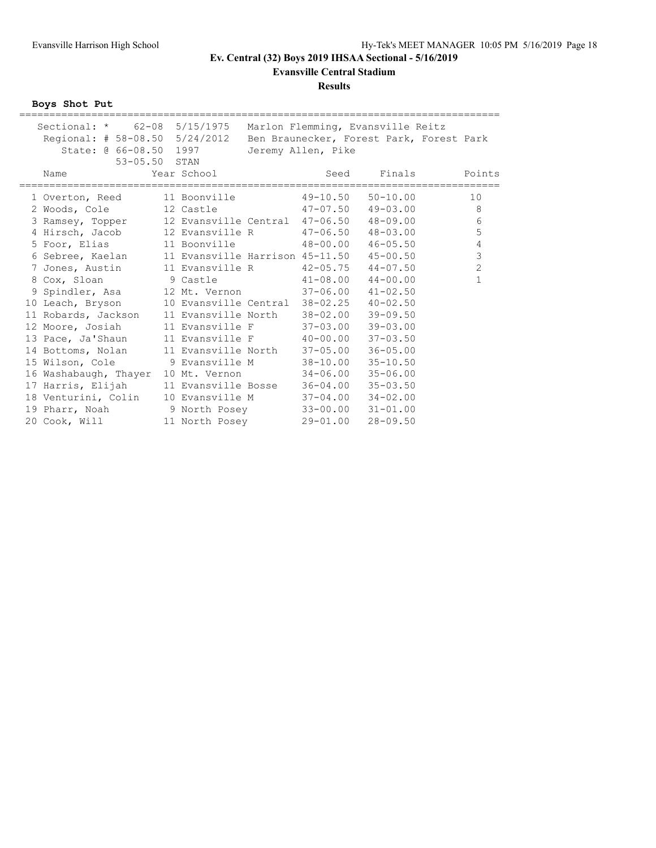**Evansville Central Stadium**

#### **Results**

**Boys Shot Put**

| Sectional: * 62-08 5/15/1975 Marlon Flemming, Evansville Reitz          |                                         |                    |                                         |                |
|-------------------------------------------------------------------------|-----------------------------------------|--------------------|-----------------------------------------|----------------|
| Regional: # 58-08.50 5/24/2012 Ben Braunecker, Forest Park, Forest Park |                                         |                    |                                         |                |
| State: @ 66-08.50 1997                                                  |                                         | Jeremy Allen, Pike |                                         |                |
| 53-05.50 STAN                                                           |                                         |                    |                                         |                |
| Name                                                                    | Year School                             |                    | Seed Finals                             | Points         |
| 1 Overton, Reed 11 Boonville 49-10.50                                   |                                         |                    | $50 - 10.00$                            | 10             |
| 2 Woods, Cole 12 Castle                                                 |                                         |                    | $47-07.50$ $49-03.00$                   | -8             |
| 3 Ramsey, Topper                                                        |                                         |                    | 12 Evansville Central 47-06.50 48-09.00 | 6              |
| 4 Hirsch, Jacob                                                         |                                         |                    |                                         | 5              |
| 5 Foor, Elias                                                           |                                         |                    | 11 Boonville 48-00.00 46-05.50          | $\sqrt{4}$     |
| 6 Sebree, Kaelan 11 Evansville Harrison 45-11.50 45-00.50               |                                         |                    |                                         | $\mathfrak{Z}$ |
| 7 Jones, Austin                                                         | 11 Evansville R    42-05.75    44-07.50 |                    |                                         | $\overline{c}$ |
| 8 Cox, Sloan 9 Castle 5 41-08.00 44-00.00                               |                                         |                    |                                         | $\mathbf{1}$   |
| 9 Spindler, Asa 12 Mt. Vernon 37-06.00 41-02.50                         |                                         |                    |                                         |                |
| 10 Leach, Bryson                                                        | 10 Evansville Central 38-02.25 40-02.50 |                    |                                         |                |
| 11 Robards, Jackson                                                     | 11 Evansville North                     | 38-02.00           | $39 - 09.50$                            |                |
| 12 Moore, Josiah                                                        | 11 Evansville F 37-03.00 39-03.00       |                    |                                         |                |
| 13 Pace, Ja'Shaun                                                       | 11 Evansville F 40-00.00 37-03.50       |                    |                                         |                |
| 14 Bottoms, Nolan                                                       | 11 Evansville North 37-05.00            |                    | $36 - 05.00$                            |                |
| 15 Wilson, Cole 9 Evansville M 38-10.00 35-10.50                        |                                         |                    |                                         |                |
| 16 Washabaugh, Thayer                                                   | 10 Mt. Vernon 34-06.00                  |                    | $35 - 06.00$                            |                |
| 17 Harris, Elijah                                                       | 11 Evansville Bosse 36-04.00 35-03.50   |                    |                                         |                |
| 18 Venturini, Colin                                                     | 10 Evansville M 37-04.00 34-02.00       |                    |                                         |                |
| 19 Pharr, Noah 9 North Posey 33-00.00 31-01.00                          |                                         |                    |                                         |                |
| 20 Cook, Will                                                           | 11 North Posey 29-01.00                 |                    | $28 - 09.50$                            |                |